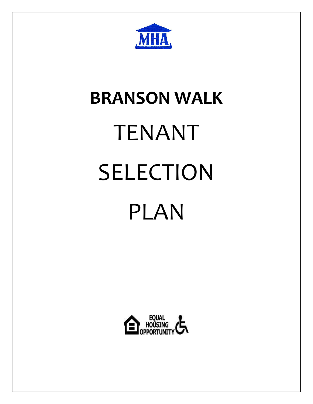

# **BRANSON WALK** TENANT SELECTION PLAN

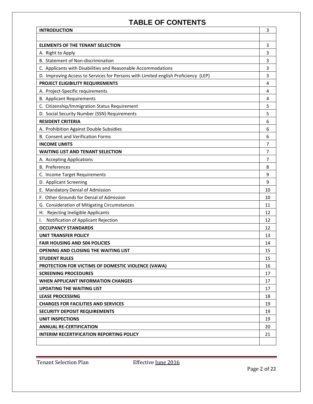# **TABLE OF CONTENTS**

| <b>INTRODUCTION</b>                                                                | 3              |  |
|------------------------------------------------------------------------------------|----------------|--|
|                                                                                    |                |  |
| <b>ELEMENTS OF THE TENANT SELECTION</b>                                            | 3              |  |
| A. Right to Apply                                                                  |                |  |
| B. Statement of Non-discrimination                                                 |                |  |
| C. Applicants with Disabilities and Reasonable Accommodations                      |                |  |
| D. Improving Access to Services for Persons with Limited english Proficiency (LEP) |                |  |
| PROJECT ELIGIBILITY REQUIREMENTS                                                   |                |  |
| A. Project-Specific requirements                                                   |                |  |
| <b>B.</b> Applicant Requirements                                                   | 4              |  |
| C. Citizenship/Immigration Status Requirement                                      | 5              |  |
| D. Social Security Number (SSN) Requirements                                       | 5              |  |
| <b>RESIDENT CRITERIA</b>                                                           | 6              |  |
| A. Prohibition Against Double Subsidies                                            | 6              |  |
| <b>B. Consent and Verification Forms</b>                                           | 6              |  |
| <b>INCOME LIMITS</b>                                                               | 7              |  |
| <b>WAITING LIST AND TENANT SELECTION</b>                                           | $\overline{7}$ |  |
| A. Accepting Applications                                                          | 7              |  |
| <b>B.</b> Preferences                                                              | 8              |  |
| C. Income Target Requirements                                                      | 9              |  |
| D. Applicant Screening                                                             |                |  |
| E. Mandatory Denial of Admission                                                   |                |  |
| F. Other Grounds for Denial of Admission                                           |                |  |
| G. Consideration of Mitigating Circumstances                                       |                |  |
| H. Rejecting Ineligible Applicants                                                 | 12             |  |
| Notification of Applicant Rejection                                                | 12             |  |
| <b>OCCUPANCY STANDARDS</b>                                                         | 12             |  |
| <b>UNIT TRANSFER POLICY</b>                                                        |                |  |
| <b>FAIR HOUSING AND 504 POLICIES</b>                                               |                |  |
| <b>OPENING AND CLOSING THE WAITING LIST</b>                                        |                |  |
| <b>STUDENT RULES</b>                                                               |                |  |
| <b>PROTECTION FOR VICTIMS OF DOMESTIC VIOLENCE (VAWA)</b>                          |                |  |
| <b>SCREENING PROCEDURES</b>                                                        | 17             |  |
| <b>WHEN APPLICANT INFORMATION CHANGES</b>                                          |                |  |
| <b>UPDATING THE WAITING LIST</b>                                                   |                |  |
| <b>LEASE PROCESSING</b>                                                            |                |  |
| <b>CHARGES FOR FACILITIES AND SERVICES</b>                                         |                |  |
| <b>SECURITY DEPOSIT REQUIREMENTS</b>                                               |                |  |
| <b>UNIT INSPECTIONS</b>                                                            |                |  |
| <b>ANNUAL RE-CERTIFICATION</b>                                                     |                |  |
| INTERIM RECERTIFICATION REPORTING POLICY                                           |                |  |
|                                                                                    |                |  |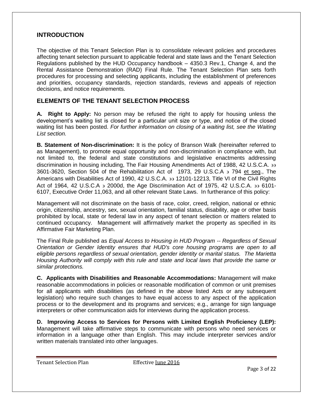### **INTRODUCTION**

The objective of this Tenant Selection Plan is to consolidate relevant policies and procedures affecting tenant selection pursuant to applicable federal and state laws and the Tenant Selection Regulations published by the HUD Occupancy handbook – 4350.3 Rev.1, Change 4, and the Rental Assistance Demonstration (RAD) Final Rule. The Tenant Selection Plan sets forth procedures for processing and selecting applicants, including the establishment of preferences and priorities, occupancy standards, rejection standards, reviews and appeals of rejection decisions, and notice requirements.

# **ELEMENTS OF THE TENANT SELECTION PROCESS**

**A. Right to Apply:** No person may be refused the right to apply for housing unless the development's waiting list is closed for a particular unit size or type, and notice of the closed waiting list has been posted. *For further information on closing of a waiting list, see the Waiting List section.* 

**B. Statement of Non-discrimination:** It is the policy of Branson Walk (hereinafter referred to as Management), to promote equal opportunity and non-discrimination in compliance with, but not limited to, the federal and state constitutions and legislative enactments addressing discrimination in housing including, The Fair Housing Amendments Act of 1988, 42 U.S.C.A. 33 3601-3620, Section 504 of the Rehabilitation Act of 1973, 29 U.S.C.A  $\rightarrow$  794 et seq., The Americans with Disabilities Act of 1990, 42 U.S.C.A. 33 12101-12213, Title VI of the Civil Rights Act of 1964, 42 U.S.C.A  $\rightarrow$  2000d, the Age Discrimination Act of 1975, 42 U.S.C.A.  $\rightarrow$  6101-6107, Executive Order 11,063, and all other relevant State Laws. In furtherance of this policy:

Management will not discriminate on the basis of race, color, creed, religion, national or ethnic origin, citizenship, ancestry, sex, sexual orientation, familial status, disability, age or other basis prohibited by local, state or federal law in any aspect of tenant selection or matters related to continued occupancy. Management will affirmatively market the property as specified in its Affirmative Fair Marketing Plan.

The Final Rule published as *Equal Access to Housing in HUD Program -- Regardless of Sexual Orientation or Gender Identity ensures that HUD's core housing programs are open to all eligible persons regardless of sexual orientation, gender identity or marital status. The Marietta Housing Authority will comply with this rule and state and local laws that provide the same or similar protections.*

**C. Applicants with Disabilities and Reasonable Accommodations:** Management will make reasonable accommodations in policies or reasonable modification of common or unit premises for all applicants with disabilities (as defined in the above listed Acts or any subsequent legislation) who require such changes to have equal access to any aspect of the application process or to the development and its programs and services; e.g., arrange for sign language interpreters or other communication aids for interviews during the application process.

**D. Improving Access to Services for Persons with Limited English Proficiency (LEP):**  Management will take affirmative steps to communicate with persons who need services or information in a language other than English. This may include interpreter services and/or written materials translated into other languages.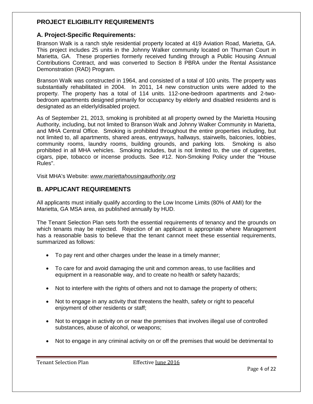# **PROJECT ELIGIBILITY REQUIREMENTS**

# **A. Project-Specific Requirements:**

Branson Walk is a ranch style residential property located at 419 Aviation Road, Marietta, GA. This project includes 25 units in the Johnny Walker community located on Thurman Court in Marietta, GA. These properties formerly received funding through a Public Housing Annual Contributions Contract, and was converted to Section 8 PBRA under the Rental Assistance Demonstration (RAD) Program.

Branson Walk was constructed in 1964, and consisted of a total of 100 units. The property was substantially rehabilitated in 2004. In 2011, 14 new construction units were added to the property. The property has a total of 114 units. 112-one-bedroom apartments and 2-twobedroom apartments designed primarily for occupancy by elderly and disabled residents and is designated as an elderly/disabled project.

As of September 21, 2013, smoking is prohibited at all property owned by the Marietta Housing Authority, including, but not limited to Branson Walk and Johnny Walker Community in Marietta, and MHA Central Office. Smoking is prohibited throughout the entire properties including, but not limited to, all apartments, shared areas, entryways, hallways, stairwells, balconies, lobbies, community rooms, laundry rooms, building grounds, and parking lots. Smoking is also prohibited in all MHA vehicles. Smoking includes, but is not limited to, the use of cigarettes, cigars, pipe, tobacco or incense products. See #12. Non-Smoking Policy under the "House Rules".

Visit MHA's Website: *www.mariettahousingauthority.org*

# **B. APPLICANT REQUIREMENTS**

All applicants must initially qualify according to the Low Income Limits (80% of AMI) for the Marietta, GA MSA area, as published annually by HUD.

The Tenant Selection Plan sets forth the essential requirements of tenancy and the grounds on which tenants may be rejected. Rejection of an applicant is appropriate where Management has a reasonable basis to believe that the tenant cannot meet these essential requirements, summarized as follows:

- To pay rent and other charges under the lease in a timely manner;
- To care for and avoid damaging the unit and common areas, to use facilities and equipment in a reasonable way, and to create no health or safety hazards;
- Not to interfere with the rights of others and not to damage the property of others;
- Not to engage in any activity that threatens the health, safety or right to peaceful enjoyment of other residents or staff;
- Not to engage in activity on or near the premises that involves illegal use of controlled substances, abuse of alcohol, or weapons;
- Not to engage in any criminal activity on or off the premises that would be detrimental to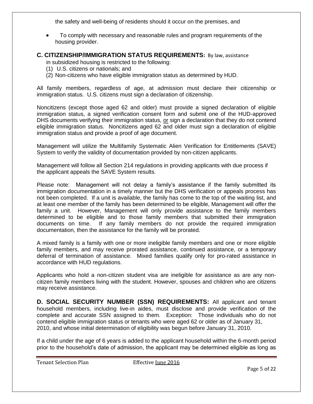the safety and well-being of residents should it occur on the premises, and

 To comply with necessary and reasonable rules and program requirements of the housing provider.

# **C. CITIZENSHIP/IMMIGRATION STATUS REQUIREMENTS:** By law, assistance

in subsidized housing is restricted to the following:

- (1) U.S. citizens or nationals; and
- (2) Non-citizens who have eligible immigration status as determined by HUD.

All family members, regardless of age, at admission must declare their citizenship or immigration status. U.S. citizens must sign a declaration of citizenship.

Noncitizens (except those aged 62 and older) must provide a signed declaration of eligible immigration status, a signed verification consent form and submit one of the HUD-approved DHS documents verifying their immigration status, or sign a declaration that they do not contend eligible immigration status. Noncitizens aged 62 and older must sign a declaration of eligible immigration status and provide a proof of age document.

Management will utilize the Multifamily Systematic Alien Verification for Entitlements (SAVE) System to verify the validity of documentation provided by non-citizen applicants.

Management will follow all Section 214 regulations in providing applicants with due process if the applicant appeals the SAVE System results.

Please note: Management will not delay a family's assistance if the family submitted its immigration documentation in a timely manner but the DHS verification or appeals process has not been completed. If a unit is available, the family has come to the top of the waiting list, and at least one member of the family has been determined to be eligible, Management will offer the family a unit. However, Management will only provide assistance to the family members determined to be eligible and to those family members that submitted their immigration documents on time. If any family members do not provide the required immigration documentation, then the assistance for the family will be prorated.

A mixed family is a family with one or more ineligible family members and one or more eligible family members, and may receive prorated assistance, continued assistance, or a temporary deferral of termination of assistance. Mixed families qualify only for pro-rated assistance in accordance with HUD regulations.

Applicants who hold a non-citizen student visa are ineligible for assistance as are any noncitizen family members living with the student. However, spouses and children who are citizens may receive assistance.

**D. SOCIAL SECURITY NUMBER (SSN) REQUIREMENTS:** All applicant and tenant household members, including live-in aides, must disclose and provide verification of the complete and accurate SSN assigned to them. Exception: Those individuals who do not contend eligible immigration status or tenants who were aged 62 or older as of January 31, 2010, and whose initial determination of eligibility was begun before January 31, 2010.

If a child under the age of 6 years is added to the applicant household within the 6-month period prior to the household's date of admission, the applicant may be determined eligible as long as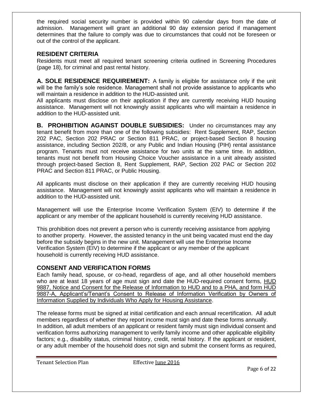the required social security number is provided within 90 calendar days from the date of admission. Management will grant an additional 90 day extension period if management determines that the failure to comply was due to circumstances that could not be foreseen or out of the control of the applicant.

# **RESIDENT CRITERIA**

Residents must meet all required tenant screening criteria outlined in Screening Procedures (page 18), for criminal and past rental history.

**A. SOLE RESIDENCE REQUIREMENT:** A family is eligible for assistance only if the unit will be the family's sole residence. Management shall not provide assistance to applicants who will maintain a residence in addition to the HUD-assisted unit.

All applicants must disclose on their application if they are currently receiving HUD housing assistance. Management will not knowingly assist applicants who will maintain a residence in addition to the HUD-assisted unit.

**B. PROHIBITION AGAINST DOUBLE SUBSIDIES:** Under no circumstances may any tenant benefit from more than one of the following subsidies: Rent Supplement, RAP, Section 202 PAC, Section 202 PRAC or Section 811 PRAC, or project-based Section 8 housing assistance, including Section 202/8, or any Public and Indian Housing (PIH) rental assistance program. Tenants must not receive assistance for two units at the same time. In addition, tenants must not benefit from Housing Choice Voucher assistance in a unit already assisted through project-based Section 8, Rent Supplement, RAP, Section 202 PAC or Section 202 PRAC and Section 811 PRAC, or Public Housing.

All applicants must disclose on their application if they are currently receiving HUD housing assistance. Management will not knowingly assist applicants who will maintain a residence in addition to the HUD-assisted unit.

Management will use the Enterprise Income Verification System (EIV) to determine if the applicant or any member of the applicant household is currently receiving HUD assistance.

This prohibition does not prevent a person who is currently receiving assistance from applying to another property. However, the assisted tenancy in the unit being vacated must end the day before the subsidy begins in the new unit. Management will use the Enterprise Income Verification System (EIV) to determine if the applicant or any member of the applicant household is currently receiving HUD assistance.

# **CONSENT AND VERIFICATION FORMS**

Each family head, spouse, or co-head, regardless of age, and all other household members who are at least 18 years of age must sign and date the HUD-required consent forms, HUD 9887, Notice and Consent for the Release of Information to HUD and to a PHA, and form HUD 9887-A, Applicant's/Tenant's Consent to Release of Information Verification by Owners of Information Supplied by Individuals Who Apply for Housing Assistance.

The release forms must be signed at initial certification and each annual recertification. All adult members regardless of whether they report income must sign and date these forms annually. In addition, all adult members of an applicant or resident family must sign individual consent and verification forms authorizing management to verify family income and other applicable eligibility factors; e.g., disability status, criminal history, credit, rental history. If the applicant or resident, or any adult member of the household does not sign and submit the consent forms as required,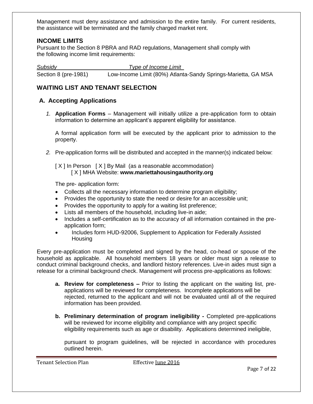Management must deny assistance and admission to the entire family. For current residents, the assistance will be terminated and the family charged market rent.

# **INCOME LIMITS**

Pursuant to the Section 8 PBRA and RAD regulations, Management shall comply with the following income limit requirements:

*Subsidy Type of Income Limit*

Section 8 (pre-1981) Low-Income Limit (80%) Atlanta-Sandy Springs-Marietta, GA MSA

### **WAITING LIST AND TENANT SELECTION**

# **A. Accepting Applications**

*1.* **Application Forms** – Management will initially utilize a pre-application form to obtain information to determine an applicant's apparent eligibility for assistance.

A formal application form will be executed by the applicant prior to admission to the property.

*2.* Pre-application forms will be distributed and accepted in the manner(s) indicated below:

[ X ] In Person [ X ] By Mail (as a reasonable accommodation) [ X ] MHA Website: **www.mariettahousingauthority.org**

The pre- application form:

- Collects all the necessary information to determine program eligibility;
- Provides the opportunity to state the need or desire for an accessible unit;
- Provides the opportunity to apply for a waiting list preference;
- Lists all members of the household, including live-in aide;
- Includes a self-certification as to the accuracy of all information contained in the preapplication form;
- Includes form HUD-92006, Supplement to Application for Federally Assisted Housing

Every pre-application must be completed and signed by the head, co-head or spouse of the household as applicable. All household members 18 years or older must sign a release to conduct criminal background checks, and landlord history references. Live-in aides must sign a release for a criminal background check. Management will process pre-applications as follows:

- **a. Review for completeness –** Prior to listing the applicant on the waiting list, preapplications will be reviewed for completeness. Incomplete applications will be rejected, returned to the applicant and will not be evaluated until all of the required information has been provided.
- **b. Preliminary determination of program ineligibility -** Completed pre-applications will be reviewed for income eligibility and compliance with any project specific eligibility requirements such as age or disability. Applications determined ineligible,

pursuant to program guidelines, will be rejected in accordance with procedures outlined herein.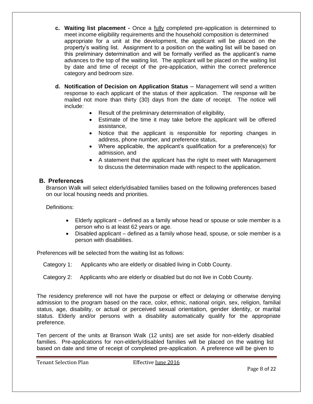- **c. Waiting list placement -** Once a fully completed pre-application is determined to meet income eligibility requirements and the household composition is determined appropriate for a unit at the development, the applicant will be placed on the property's waiting list. Assignment to a position on the waiting list will be based on this preliminary determination and will be formally verified as the applicant's name advances to the top of the waiting list. The applicant will be placed on the waiting list by date and time of receipt of the pre-application, within the correct preference category and bedroom size.
- **d. Notification of Decision on Application Status** Management will send a written response to each applicant of the status of their application. The response will be mailed not more than thirty (30) days from the date of receipt. The notice will include:
	- Result of the preliminary determination of eligibility,
	- Estimate of the time it may take before the applicant will be offered assistance,
	- Notice that the applicant is responsible for reporting changes in address, phone number, and preference status,
	- Where applicable, the applicant's qualification for a preference(s) for admission, and
	- A statement that the applicant has the right to meet with Management to discuss the determination made with respect to the application.

### **B. Preferences**

Branson Walk will select elderly/disabled families based on the following preferences based on our local housing needs and priorities.

Definitions:

- Elderly applicant defined as a family whose head or spouse or sole member is a person who is at least 62 years or age.
- Disabled applicant defined as a family whose head, spouse, or sole member is a person with disabilities.

Preferences will be selected from the waiting list as follows:

Category 1: Applicants who are elderly or disabled living in Cobb County.

### Category 2: Applicants who are elderly or disabled but do not live in Cobb County.

The residency preference will not have the purpose or effect or delaying or otherwise denying admission to the program based on the race, color, ethnic, national origin, sex, religion, familial status, age, disability, or actual or perceived sexual orientation, gender identity, or marital status. Elderly and/or persons with a disability automatically qualify for the appropriate preference.

Ten percent of the units at Branson Walk (12 units) are set aside for non-elderly disabled families. Pre-applications for non-elderly/disabled families will be placed on the waiting list based on date and time of receipt of completed pre-application. A preference will be given to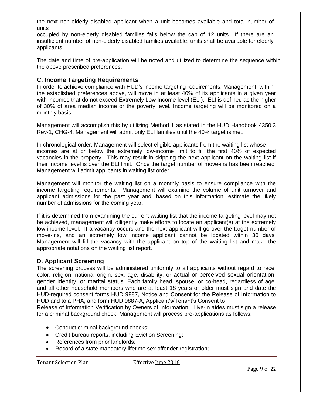the next non-elderly disabled applicant when a unit becomes available and total number of units

occupied by non-elderly disabled families falls below the cap of 12 units. If there are an insufficient number of non-elderly disabled families available, units shall be available for elderly applicants.

The date and time of pre-application will be noted and utilized to determine the sequence within the above prescribed preferences.

# **C. Income Targeting Requirements**

In order to achieve compliance with HUD's income targeting requirements, Management, within the established preferences above, will move in at least 40% of its applicants in a given year with incomes that do not exceed Extremely Low Income level (ELI). ELI is defined as the higher of 30% of area median income or the poverty level. Income targeting will be monitored on a monthly basis.

Management will accomplish this by utilizing Method 1 as stated in the HUD Handbook 4350.3 Rev-1, CHG-4. Management will admit only ELI families until the 40% target is met.

In chronological order, Management will select eligible applicants from the waiting list whose incomes are at or below the extremely low-income limit to fill the first 40% of expected vacancies in the property. This may result in skipping the next applicant on the waiting list if their income level is over the ELI limit. Once the target number of move-ins has been reached, Management will admit applicants in waiting list order.

Management will monitor the waiting list on a monthly basis to ensure compliance with the income targeting requirements. Management will examine the volume of unit turnover and applicant admissions for the past year and, based on this information, estimate the likely number of admissions for the coming year.

If it is determined from examining the current waiting list that the income targeting level may not be achieved, management will diligently make efforts to locate an applicant(s) at the extremely low income level. If a vacancy occurs and the next applicant will go over the target number of move-ins, and an extremely low income applicant cannot be located within 30 days, Management will fill the vacancy with the applicant on top of the waiting list and make the appropriate notations on the waiting list report.

# **D. Applicant Screening**

The screening process will be administered uniformly to all applicants without regard to race, color, religion, national origin, sex, age, disability, or actual or perceived sexual orientation, gender identity, or marital status. Each family head, spouse, or co-head, regardless of age, and all other household members who are at least 18 years or older must sign and date the HUD-required consent forms HUD 9887, Notice and Consent for the Release of Information to HUD and to a PHA, and form HUD 9887-A, Applicant's/Tenant's Consent to

Release of Information Verification by Owners of Information. Live-in aides must sign a release for a criminal background check. Management will process pre-applications as follows:

- Conduct criminal background checks;
- Credit bureau reports, including Eviction Screening;
- References from prior landlords;
- Record of a state mandatory lifetime sex offender registration;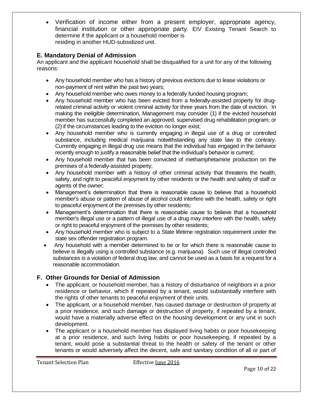Verification of income either from a present employer, appropriate agency, financial institution or other appropriate party. EIV Existing Tenant Search to determine if the applicant or a household member is residing in another HUD-subsidized unit.

# **E. Mandatory Denial of Admission**

An applicant and the applicant household shall be disqualified for a unit for any of the following reasons:

- Any household member who has a history of previous evictions due to lease violations or non-payment of rent within the past two years;
- Any household member who owes money to a federally funded housing program;
- Any household member who has been evicted from a federally-assisted property for drugrelated criminal activity or violent criminal activity for three years from the date of eviction. In making the ineligible determination, Management may consider (1) if the evicted household member has successfully completed an approved, supervised drug rehabilitation program; or (2) if the circumstances leading to the eviction no longer exist;
- Any household member who is currently engaging in illegal use of a drug or controlled substance, including medical marijuana notwithstanding any state law to the contrary. Currently engaging in illegal drug use means that the individual has engaged in the behavior recently enough to justify a reasonable belief that the individual's behavior is current;
- Any household member that has been convicted of methamphetamine production on the premises of a federally-assisted property;
- Any household member with a history of other criminal activity that threatens the health, safety, and right to peaceful enjoyment by other residents or the health and safety of staff or agents of the owner;
- Management's determination that there is reasonable cause to believe that a household member's abuse or pattern of abuse of alcohol could interfere with the health, safety or right to peaceful enjoyment of the premises by other residents;
- Management's determination that there is reasonable cause to believe that a household member's illegal use or a pattern of illegal use of a drug may interfere with the health, safety or right to peaceful enjoyment of the premises by other residents;
- Any household member who is subject to a State lifetime registration requirement under the state sex offender registration program.
- Any household with a member determined to be or for which there is reasonable cause to believe is illegally using a controlled substance (e.g. marijuana). Such use of illegal controlled substances is a violation of federal drug law, and cannot be used as a basis for a request for a reasonable accommodation.

# **F. Other Grounds for Denial of Admission**

- The applicant, or household member, has a history of disturbance of neighbors in a prior residence or behavior, which if repeated by a tenant, would substantially interfere with the rights of other tenants to peaceful enjoyment of their units.
- The applicant, or a household member, has caused damage or destruction of property at a prior residence, and such damage or destruction of property, if repeated by a tenant, would have a materially adverse effect on the housing development or any unit in such development.
- The applicant or a household member has displayed living habits or poor housekeeping at a prior residence, and such living habits or poor housekeeping, if repeated by a tenant, would pose a substantial threat to the health or safety of the tenant or other tenants or would adversely affect the decent, safe and sanitary condition of all or part of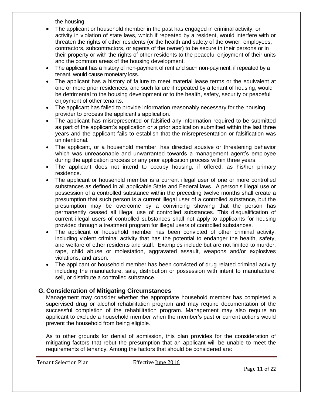the housing.

- The applicant or household member in the past has engaged in criminal activity, or activity in violation of state laws, which if repeated by a resident, would interfere with or threaten the rights of other residents (or the health and safety of the owner, employees, contractors, subcontractors, or agents of the owner) to be secure in their persons or in their property or with the rights of other residents to the peaceful enjoyment of their units and the common areas of the housing development.
- The applicant has a history of non-payment of rent and such non-payment, if repeated by a tenant, would cause monetary loss.
- The applicant has a history of failure to meet material lease terms or the equivalent at one or more prior residences, and such failure if repeated by a tenant of housing, would be detrimental to the housing development or to the health, safety, security or peaceful enjoyment of other tenants.
- The applicant has failed to provide information reasonably necessary for the housing provider to process the applicant's application.
- The applicant has misrepresented or falsified any information required to be submitted as part of the applicant's application or a prior application submitted within the last three years and the applicant fails to establish that the misrepresentation or falsification was unintentional.
- The applicant, or a household member, has directed abusive or threatening behavior which was unreasonable and unwarranted towards a management agent's employee during the application process or any prior application process within three years.
- The applicant does not intend to occupy housing, if offered, as his/her primary residence.
- The applicant or household member is a current illegal user of one or more controlled substances as defined in all applicable State and Federal laws. A person's illegal use or possession of a controlled substance within the preceding twelve months shall create a presumption that such person is a current illegal user of a controlled substance, but the presumption may be overcome by a convincing showing that the person has permanently ceased all illegal use of controlled substances. This disqualification of current illegal users of controlled substances shall not apply to applicants for housing provided through a treatment program for illegal users of controlled substances.
- The applicant or household member has been convicted of other criminal activity, including violent criminal activity that has the potential to endanger the health, safety, and welfare of other residents and staff. Examples include but are not limited to murder, rape, child abuse or molestation, aggravated assault, weapons and/or explosives violations, and arson.
- The applicant or household member has been convicted of drug related criminal activity including the manufacture, sale, distribution or possession with intent to manufacture, sell, or distribute a controlled substance.

# **G. Consideration of Mitigating Circumstances**

Management may consider whether the appropriate household member has completed a supervised drug or alcohol rehabilitation program and may require documentation of the successful completion of the rehabilitation program. Management may also require an applicant to exclude a household member when the member's past or current actions would prevent the household from being eligible.

As to other grounds for denial of admission, this plan provides for the consideration of mitigating factors that rebut the presumption that an applicant will be unable to meet the requirements of tenancy. Among the factors that should be considered are: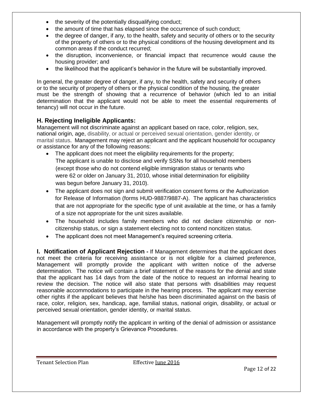- the severity of the potentially disqualifying conduct;
- the amount of time that has elapsed since the occurrence of such conduct;
- the degree of danger, if any, to the health, safety and security of others or to the security of the property of others or to the physical conditions of the housing development and its common areas if the conduct recurred;
- the disruption, inconvenience, or financial impact that recurrence would cause the housing provider; and
- the likelihood that the applicant's behavior in the future will be substantially improved.

In general, the greater degree of danger, if any, to the health, safety and security of others or to the security of property of others or the physical condition of the housing, the greater must be the strength of showing that a recurrence of behavior (which led to an initial determination that the applicant would not be able to meet the essential requirements of tenancy) will not occur in the future.

# **H. Rejecting Ineligible Applicants:**

Management will not discriminate against an applicant based on race, color, religion, sex, national origin, age, disability, or actual or perceived sexual orientation, gender identity, or marital status. Management may reject an applicant and the applicant household for occupancy or assistance for any of the following reasons:

- The applicant does not meet the eligibility requirements for the property; The applicant is unable to disclose and verify SSNs for all household members (except those who do not contend eligible immigration status or tenants who were 62 or older on January 31, 2010, whose initial determination for eligibility was begun before January 31, 2010).
- The applicant does not sign and submit verification consent forms or the Authorization for Release of Information (forms HUD-9887/9887-A). The applicant has characteristics that are not appropriate for the specific type of unit available at the time, or has a family of a size not appropriate for the unit sizes available.
- The household includes family members who did not declare citizenship or noncitizenship status, or sign a statement electing not to contend noncitizen status.
- The applicant does not meet Management's required screening criteria.

**I. Notification of Applicant Rejection -** If Management determines that the applicant does not meet the criteria for receiving assistance or is not eligible for a claimed preference, Management will promptly provide the applicant with written notice of the adverse determination. The notice will contain a brief statement of the reasons for the denial and state that the applicant has 14 days from the date of the notice to request an informal hearing to review the decision. The notice will also state that persons with disabilities may request reasonable accommodations to participate in the hearing process. The applicant may exercise other rights if the applicant believes that he/she has been discriminated against on the basis of race, color, religion, sex, handicap, age, familial status, national origin, disability, or actual or perceived sexual orientation, gender identity, or marital status.

Management will promptly notify the applicant in writing of the denial of admission or assistance in accordance with the property's Grievance Procedures.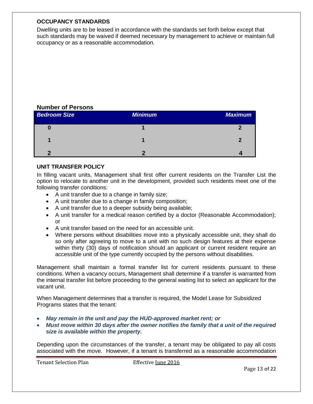### **OCCUPANCY STANDARDS**

Dwelling units are to be leased in accordance with the standards set forth below except that such standards may be waived if deemed necessary by management to achieve or maintain full occupancy or as a reasonable accommodation.

# **Number of Persons**

| <b>Bedroom Size</b> | <b>Minimum</b> | <b>Maximum</b> |
|---------------------|----------------|----------------|
| υ                   |                |                |
|                     |                |                |
|                     |                |                |

### **UNIT TRANSFER POLICY**

In filling vacant units, Management shall first offer current residents on the Transfer List the option to relocate to another unit in the development, provided such residents meet one of the following transfer conditions:

- A unit transfer due to a change in family size;
- A unit transfer due to a change in family composition;
- A unit transfer due to a deeper subsidy being available;
- A unit transfer for a medical reason certified by a doctor (Reasonable Accommodation); or
- A unit transfer based on the need for an accessible unit.
- Where persons without disabilities move into a physically accessible unit, they shall do so only after agreeing to move to a unit with no such design features at their expense within thirty (30) days of notification should an applicant or current resident require an accessible unit of the type currently occupied by the persons without disabilities.

Management shall maintain a formal transfer list for current residents pursuant to these conditions. When a vacancy occurs, Management shall determine if a transfer is warranted from the internal transfer list before proceeding to the general waiting list to select an applicant for the vacant unit.

When Management determines that a transfer is required, the Model Lease for Subsidized Programs states that the tenant:

- *May remain in the unit and pay the HUD-approved market rent; or*
- *Must move within 30 days after the owner notifies the family that a unit of the required size is available within the property.*

Depending upon the circumstances of the transfer, a tenant may be obligated to pay all costs associated with the move. However, if a tenant is transferred as a reasonable accommodation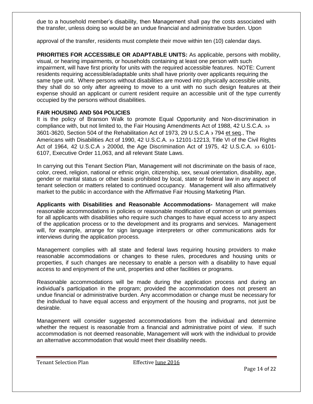due to a household member's disability, then Management shall pay the costs associated with the transfer, unless doing so would be an undue financial and administrative burden. Upon

approval of the transfer, residents must complete their move within ten (10) calendar days.

**PRIORITIES FOR ACCESSIBLE OR ADAPTABLE UNITS:** As applicable, persons with mobility, visual, or hearing impairments, or households containing at least one person with such impairment, will have first priority for units with the required accessible features. NOTE: Current residents requiring accessible/adaptable units shall have priority over applicants requiring the same type unit. Where persons without disabilities are moved into physically accessible units, they shall do so only after agreeing to move to a unit with no such design features at their expense should an applicant or current resident require an accessible unit of the type currently occupied by the persons without disabilities.

### **FAIR HOUSING AND 504 POLICIES**

It is the policy of Branson Walk to promote Equal Opportunity and Non-discrimination in compliance with, but not limited to, the Fair Housing Amendments Act of 1988, 42 U.S.C.A. 3601-3620, Section 504 of the Rehabilitation Act of 1973, 29 U.S.C.A  $\frac{1}{2}$  794 et seq., The Americans with Disabilities Act of 1990, 42 U.S.C.A. 33 12101-12213, Title VI of the Civil Rights Act of 1964, 42 U.S.C.A  $\overline{2}$  2000d, the Age Discrimination Act of 1975, 42 U.S.C.A,  $\overline{2}$  6101-6107, Executive Order 11,063, and all relevant State Laws.

In carrying out this Tenant Section Plan, Management will not discriminate on the basis of race, color, creed, religion, national or ethnic origin, citizenship, sex, sexual orientation, disability, age, gender or marital status or other basis prohibited by local, state or federal law in any aspect of tenant selection or matters related to continued occupancy. Management will also affirmatively market to the public in accordance with the Affirmative Fair Housing Marketing Plan.

**Applicants with Disabilities and Reasonable Accommodations-** Management will make reasonable accommodations in policies or reasonable modification of common or unit premises for all applicants with disabilities who require such changes to have equal access to any aspect of the application process or to the development and its programs and services. Management will, for example, arrange for sign language interpreters or other communications aids for interviews during the application process.

Management complies with all state and federal laws requiring housing providers to make reasonable accommodations or changes to these rules, procedures and housing units or properties, if such changes are necessary to enable a person with a disability to have equal access to and enjoyment of the unit, properties and other facilities or programs.

Reasonable accommodations will be made during the application process and during an individual's participation in the program; provided the accommodation does not present an undue financial or administrative burden. Any accommodation or change must be necessary for the individual to have equal access and enjoyment of the housing and programs, not just be desirable.

Management will consider suggested accommodations from the individual and determine whether the request is reasonable from a financial and administrative point of view. If such accommodation is not deemed reasonable, Management will work with the individual to provide an alternative accommodation that would meet their disability needs.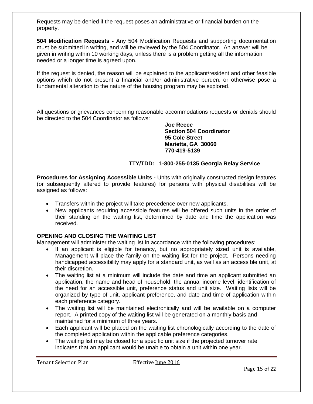Requests may be denied if the request poses an administrative or financial burden on the property.

**504 Modification Requests -** Any 504 Modification Requests and supporting documentation must be submitted in writing, and will be reviewed by the 504 Coordinator. An answer will be given in writing within 10 working days, unless there is a problem getting all the information needed or a longer time is agreed upon.

If the request is denied, the reason will be explained to the applicant/resident and other feasible options which do not present a financial and/or administrative burden, or otherwise pose a fundamental alteration to the nature of the housing program may be explored.

All questions or grievances concerning reasonable accommodations requests or denials should be directed to the 504 Coordinator as follows:

> **Joe Reece Section 504 Coordinator 95 Cole Street Marietta, GA 30060 770-419-5139**

### **TTY/TDD: 1-800-255-0135 Georgia Relay Service**

**Procedures for Assigning Accessible Units -** Units with originally constructed design features (or subsequently altered to provide features) for persons with physical disabilities will be assigned as follows:

- Transfers within the project will take precedence over new applicants.
- New applicants requiring accessible features will be offered such units in the order of their standing on the waiting list, determined by date and time the application was received.

### **OPENING AND CLOSING THE WAITING LIST**

Management will administer the waiting list in accordance with the following procedures:

- If an applicant is eligible for tenancy, but no appropriately sized unit is available, Management will place the family on the waiting list for the project. Persons needing handicapped accessibility may apply for a standard unit, as well as an accessible unit, at their discretion.
- The waiting list at a minimum will include the date and time an applicant submitted an application, the name and head of household, the annual income level, identification of the need for an accessible unit, preference status and unit size. Waiting lists will be organized by type of unit, applicant preference, and date and time of application within each preference category.
- The waiting list will be maintained electronically and will be available on a computer report. A printed copy of the waiting list will be generated on a monthly basis and maintained for a minimum of three years.
- Each applicant will be placed on the waiting list chronologically according to the date of the completed application within the applicable preference categories.
- The waiting list may be closed for a specific unit size if the projected turnover rate indicates that an applicant would be unable to obtain a unit within one year.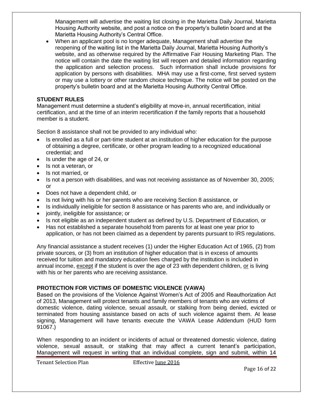Management will advertise the waiting list closing in the Marietta Daily Journal, Marietta Housing Authority website, and post a notice on the property's bulletin board and at the Marietta Housing Authority's Central Office.

 When an applicant pool is no longer adequate, Management shall advertise the reopening of the waiting list in the Marietta Daily Journal, Marietta Housing Authority's website, and as otherwise required by the Affirmative Fair Housing Marketing Plan. The notice will contain the date the waiting list will reopen and detailed information regarding the application and selection process. Such information shall include provisions for application by persons with disabilities. MHA may use a first-come, first served system or may use a lottery or other random choice technique. The notice will be posted on the property's bulletin board and at the Marietta Housing Authority Central Office.

### **STUDENT RULES**

Management must determine a student's eligibility at move-in, annual recertification, initial certification, and at the time of an interim recertification if the family reports that a household member is a student.

Section 8 assistance shall not be provided to any individual who:

- Is enrolled as a full or part-time student at an institution of higher education for the purpose of obtaining a degree, certificate, or other program leading to a recognized educational credential; and
- Is under the age of 24, or
- Is not a veteran, or
- Is not married, or
- Is not a person with disabilities, and was not receiving assistance as of November 30, 2005; or
- Does not have a dependent child, or
- Is not living with his or her parents who are receiving Section 8 assistance, or
- Is individually ineligible for section 8 assistance or has parents who are, and individually or
- jointly, ineligible for assistance; or
- Is not eligible as an independent student as defined by U.S. Department of Education, or
- Has not established a separate household from parents for at least one year prior to application, or has not been claimed as a dependent by parents pursuant to IRS regulations.

Any financial assistance a student receives (1) under the Higher Education Act of 1965, (2) from private sources, or (3) from an institution of higher education that is in excess of amounts received for tuition and mandatory education fees charged by the institution is included in annual income, except if the student is over the age of 23 with dependent children, or is living with his or her parents who are receiving assistance.

# **PROTECTION FOR VICTIMS OF DOMESTIC VIOLENCE (VAWA)**

Based on the provisions of the Violence Against Women's Act of 2005 and Reauthorization Act of 2013, Management will protect tenants and family members of tenants who are victims of domestic violence, dating violence, sexual assault, or stalking from being denied, evicted or terminated from housing assistance based on acts of such violence against them. At lease signing, Management will have tenants execute the VAWA Lease Addendum (HUD form 91067.)

When responding to an incident or incidents of actual or threatened domestic violence, dating violence, sexual assault, or stalking that may affect a current tenant's participation, Management will request in writing that an individual complete, sign and submit, within 14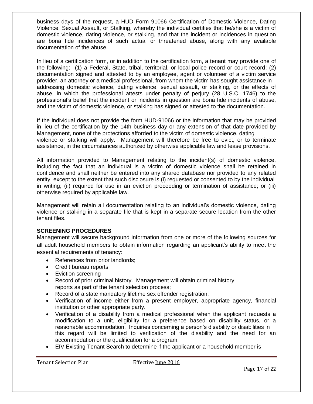business days of the request, a HUD Form 91066 Certification of Domestic Violence, Dating Violence, Sexual Assault, or Stalking, whereby the individual certifies that he/she is a victim of domestic violence, dating violence, or stalking, and that the incident or incidences in question are bona fide incidences of such actual or threatened abuse, along with any available documentation of the abuse.

In lieu of a certification form, or in addition to the certification form, a tenant may provide one of the following: (1) a Federal, State, tribal, territorial, or local police record or court record; (2) documentation signed and attested to by an employee, agent or volunteer of a victim service provider, an attorney or a medical professional, from whom the victim has sought assistance in addressing domestic violence, dating violence, sexual assault, or stalking, or the effects of abuse, in which the professional attests under penalty of perjury (28 U.S.C. 1746) to the professional's belief that the incident or incidents in question are bona fide incidents of abuse, and the victim of domestic violence, or stalking has signed or attested to the documentation.

If the individual does not provide the form HUD-91066 or the information that may be provided in lieu of the certification by the 14th business day or any extension of that date provided by Management, none of the protections afforded to the victim of domestic violence, dating violence or stalking will apply. Management will therefore be free to evict, or to terminate assistance, in the circumstances authorized by otherwise applicable law and lease provisions.

All information provided to Management relating to the incident(s) of domestic violence, including the fact that an individual is a victim of domestic violence shall be retained in confidence and shall neither be entered into any shared database nor provided to any related entity, except to the extent that such disclosure is (i) requested or consented to by the individual in writing; (ii) required for use in an eviction proceeding or termination of assistance; or (iii) otherwise required by applicable law.

Management will retain all documentation relating to an individual's domestic violence, dating violence or stalking in a separate file that is kept in a separate secure location from the other tenant files.

### **SCREENING PROCEDURES**

Management will secure background information from one or more of the following sources for all adult household members to obtain information regarding an applicant's ability to meet the essential requirements of tenancy:

- References from prior landlords;
- Credit bureau reports
- Eviction screening
- Record of prior criminal history. Management will obtain criminal history reports as part of the tenant selection process;
- Record of a state mandatory lifetime sex offender registration;
- Verification of income either from a present employer, appropriate agency, financial institution or other appropriate party.
- Verification of a disability from a medical professional when the applicant requests a modification to a unit, eligibility for a preference based on disability status, or a reasonable accommodation. Inquiries concerning a person's disability or disabilities in this regard will be limited to verification of the disability and the need for an accommodation or the qualification for a program.
- EIV Existing Tenant Search to determine if the applicant or a household member is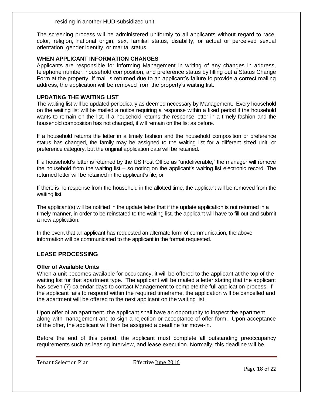residing in another HUD-subsidized unit.

The screening process will be administered uniformly to all applicants without regard to race, color, religion, national origin, sex, familial status, disability, or actual or perceived sexual orientation, gender identity, or marital status.

### **WHEN APPLICANT INFORMATION CHANGES**

Applicants are responsible for informing Management in writing of any changes in address, telephone number, household composition, and preference status by filling out a Status Change Form at the property. If mail is returned due to an applicant's failure to provide a correct mailing address, the application will be removed from the property's waiting list.

### **UPDATING THE WAITING LIST**

The waiting list will be updated periodically as deemed necessary by Management. Every household on the waiting list will be mailed a notice requiring a response within a fixed period if the household wants to remain on the list. If a household returns the response letter in a timely fashion and the household composition has not changed, it will remain on the list as before.

If a household returns the letter in a timely fashion and the household composition or preference status has changed, the family may be assigned to the waiting list for a different sized unit, or preference category, but the original application date will be retained.

If a household's letter is returned by the US Post Office as "undeliverable," the manager will remove the household from the waiting list – so noting on the applicant's waiting list electronic record. The returned letter will be retained in the applicant's file; or

If there is no response from the household in the allotted time, the applicant will be removed from the waiting list.

The applicant(s) will be notified in the update letter that if the update application is not returned in a timely manner, in order to be reinstated to the waiting list, the applicant will have to fill out and submit a new application.

In the event that an applicant has requested an alternate form of communication, the above information will be communicated to the applicant in the format requested.

# **LEASE PROCESSING**

### **Offer of Available Units**

When a unit becomes available for occupancy, it will be offered to the applicant at the top of the waiting list for that apartment type. The applicant will be mailed a letter stating that the applicant has seven (7) calendar days to contact Management to complete the full application process. If the applicant fails to respond within the required timeframe, the application will be cancelled and the apartment will be offered to the next applicant on the waiting list.

Upon offer of an apartment, the applicant shall have an opportunity to inspect the apartment along with management and to sign a rejection or acceptance of offer form. Upon acceptance of the offer, the applicant will then be assigned a deadline for move-in.

Before the end of this period, the applicant must complete all outstanding preoccupancy requirements such as leasing interview, and lease execution. Normally, this deadline will be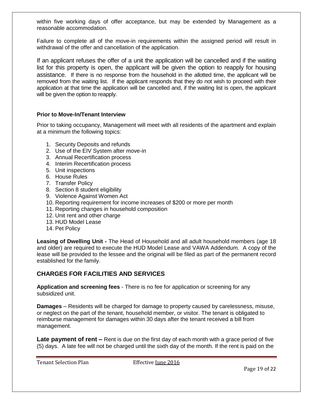within five working days of offer acceptance, but may be extended by Management as a reasonable accommodation.

Failure to complete all of the move-in requirements within the assigned period will result in withdrawal of the offer and cancellation of the application.

If an applicant refuses the offer of a unit the application will be cancelled and if the waiting list for this property is open, the applicant will be given the option to reapply for housing assistance. If there is no response from the household in the allotted time, the applicant will be removed from the waiting list. If the applicant responds that they do not wish to proceed with their application at that time the application will be cancelled and, if the waiting list is open, the applicant will be given the option to reapply.

### **Prior to Move-In/Tenant Interview**

Prior to taking occupancy, Management will meet with all residents of the apartment and explain at a minimum the following topics:

- 1. Security Deposits and refunds
- 2. Use of the EIV System after move-in
- 3. Annual Recertification process
- 4. Interim Recertification process
- 5. Unit inspections
- 6. House Rules
- 7. Transfer Policy
- 8. Section 8 student eligibility
- 9. Violence Against Women Act
- 10. Reporting requirement for income increases of \$200 or more per month
- 11. Reporting changes in household composition
- 12. Unit rent and other charge
- 13. HUD Model Lease
- 14. Pet Policy

**Leasing of Dwelling Unit -** The Head of Household and all adult household members (age 18 and older) are required to execute the HUD Model Lease and VAWA Addendum. A copy of the lease will be provided to the lessee and the original will be filed as part of the permanent record established for the family.

# **CHARGES FOR FACILITIES AND SERVICES**

**Application and screening fees** - There is no fee for application or screening for any subsidized unit.

**Damages** – Residents will be charged for damage to property caused by carelessness, misuse, or neglect on the part of the tenant, household member, or visitor. The tenant is obligated to reimburse management for damages within 30 days after the tenant received a bill from management.

**Late payment of rent –** Rent is due on the first day of each month with a grace period of five (5) days. A late fee will not be charged until the sixth day of the month. If the rent is paid on the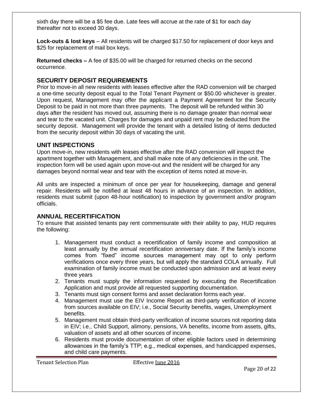sixth day there will be a \$5 fee due. Late fees will accrue at the rate of \$1 for each day thereafter not to exceed 30 days.

**Lock-outs & lost keys** – All residents will be charged \$17.50 for replacement of door keys and \$25 for replacement of mail box keys.

**Returned checks –** A fee of \$35.00 will be charged for returned checks on the second occurrence.

# **SECURITY DEPOSIT REQUIREMENTS**

Prior to move-in all new residents with leases effective after the RAD conversion will be charged a one-time security deposit equal to the Total Tenant Payment or \$50.00 whichever is greater. Upon request, Management may offer the applicant a Payment Agreement for the Security Deposit to be paid in not more than three payments. The deposit will be refunded within 30 days after the resident has moved out, assuming there is no damage greater than normal wear and tear to the vacated unit. Charges for damages and unpaid rent may be deducted from the security deposit. Management will provide the tenant with a detailed listing of items deducted from the security deposit within 30 days of vacating the unit.

# **UNIT INSPECTIONS**

Upon move-in, new residents with leases effective after the RAD conversion will inspect the apartment together with Management, and shall make note of any deficiencies in the unit. The inspection form will be used again upon move-out and the resident will be charged for any damages beyond normal wear and tear with the exception of items noted at move-in.

All units are inspected a minimum of once per year for housekeeping, damage and general repair. Residents will be notified at least 48 hours in advance of an inspection. In addition, residents must submit (upon 48-hour notification) to inspection by government and/or program officials.

# **ANNUAL RECERTIFICATION**

To ensure that assisted tenants pay rent commensurate with their ability to pay, HUD requires the following:

- 1. Management must conduct a recertification of family income and composition at least annually by the annual recertification anniversary date. If the family's income comes from "fixed" income sources management may opt to only perform verifications once every three years, but will apply the standard COLA annually. Full examination of family income must be conducted upon admission and at least every three years
- 2. Tenants must supply the information requested by executing the Recertification Application and must provide all requested supporting documentation.
- 3. Tenants must sign consent forms and asset declaration forms each year.
- 4. Management must use the EIV Income Report as third-party verification of income from sources available on EIV; i.e., Social Security benefits, wages, Unemployment benefits.
- 5. Management must obtain third-party verification of income sources not reporting data in EIV; i.e., Child Support, alimony, pensions, VA benefits, income from assets, gifts, valuation of assets and all other sources of income.
- 6. Residents must provide documentation of other eligible factors used in determining allowances in the family's TTP; e.g., medical expenses, and handicapped expenses, and child care payments.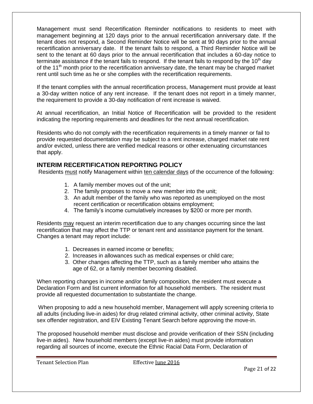Management must send Recertification Reminder notifications to residents to meet with management beginning at 120 days prior to the annual recertification anniversary date. If the tenant does not respond, a Second Reminder Notice will be sent at 90 days prior to the annual recertification anniversary date. If the tenant fails to respond, a Third Reminder Notice will be sent to the tenant at 60 days prior to the annual recertification that includes a 60-day notice to terminate assistance if the tenant fails to respond. If the tenant fails to respond by the 10<sup>th</sup> day of the 11<sup>th</sup> month prior to the recertification anniversary date, the tenant may be charged market rent until such time as he or she complies with the recertification requirements.

If the tenant complies with the annual recertification process, Management must provide at least a 30-day written notice of any rent increase. If the tenant does not report in a timely manner, the requirement to provide a 30-day notification of rent increase is waived.

At annual recertification, an Initial Notice of Recertification will be provided to the resident indicating the reporting requirements and deadlines for the next annual recertification.

Residents who do not comply with the recertification requirements in a timely manner or fail to provide requested documentation may be subject to a rent increase, charged market rate rent and/or evicted, unless there are verified medical reasons or other extenuating circumstances that apply.

# **INTERIM RECERTIFICATION REPORTING POLICY**

Residents must notify Management within ten calendar days of the occurrence of the following:

- 1. A family member moves out of the unit;
- 2. The family proposes to move a new member into the unit;
- 3. An adult member of the family who was reported as unemployed on the most recent certification or recertification obtains employment;
- 4. The family's income cumulatively increases by \$200 or more per month.

Residents may request an interim recertification due to any changes occurring since the last recertification that may affect the TTP or tenant rent and assistance payment for the tenant. Changes a tenant may report include:

- 1. Decreases in earned income or benefits;
- 2. Increases in allowances such as medical expenses or child care;
- 3. Other changes affecting the TTP, such as a family member who attains the age of 62, or a family member becoming disabled.

When reporting changes in income and/or family composition, the resident must execute a Declaration Form and list current information for all household members. The resident must provide all requested documentation to substantiate the change.

When proposing to add a new household member, Management will apply screening criteria to all adults (including live-in aides) for drug related criminal activity, other criminal activity, State sex offender registration, and EIV Existing Tenant Search before approving the move-in.

The proposed household member must disclose and provide verification of their SSN (including live-in aides). New household members (except live-in aides) must provide information regarding all sources of income, execute the Ethnic Racial Data Form, Declaration of